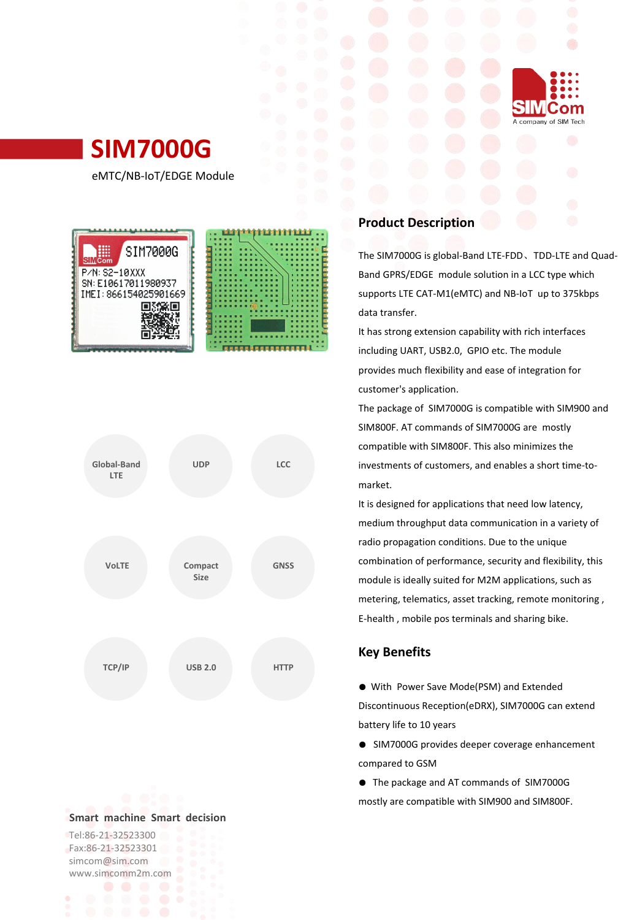

# **SIM7000G**

eMTC/NB-IoT/EDGE Module





#### **Smart machine Smart decision**

Tel:86-21-32523300 Fax:86-21-32523301 simcom@sim.com www.simcomm2m.com

# **Product Description**

The SIM7000G is global-Band LTE-FDD、TDD-LTE and Quad- Band GPRS/EDGE module solution in a LCC type which supports LTE CAT-M1(eMTC) and NB-IoT up to 375kbps data transfer.

It has strong extension capability with rich interfaces including UART, USB2.0, GPIO etc. The module provides much flexibility and ease of integration for customer's application.

The package of SIM7000G is compatible with SIM900 and SIM800F. AT commands of SIM7000G are mostly compatible with SIM800F. This also minimizes the investments of customers, and enables a short time-to- **UDP LCC** market.

> It is designed for applications that need low latency, medium throughput data communication in a variety of radio propagation conditions. Due to the unique combination of performance, security and flexibility, this module is ideally suited for M2M applications, such as metering, telematics, asset tracking, remote monitoring , E-health , mobile pos terminals and sharing bike.

## **Key Benefits**

● With Power Save Mode(PSM) and Extended Discontinuous Reception(eDRX), SIM7000G can extend battery life to 10 years

● SIM7000G provides deeper coverage enhancement compared to GSM

● The package and AT commands of SIM7000G mostly are compatible with SIM900 and SIM800F.